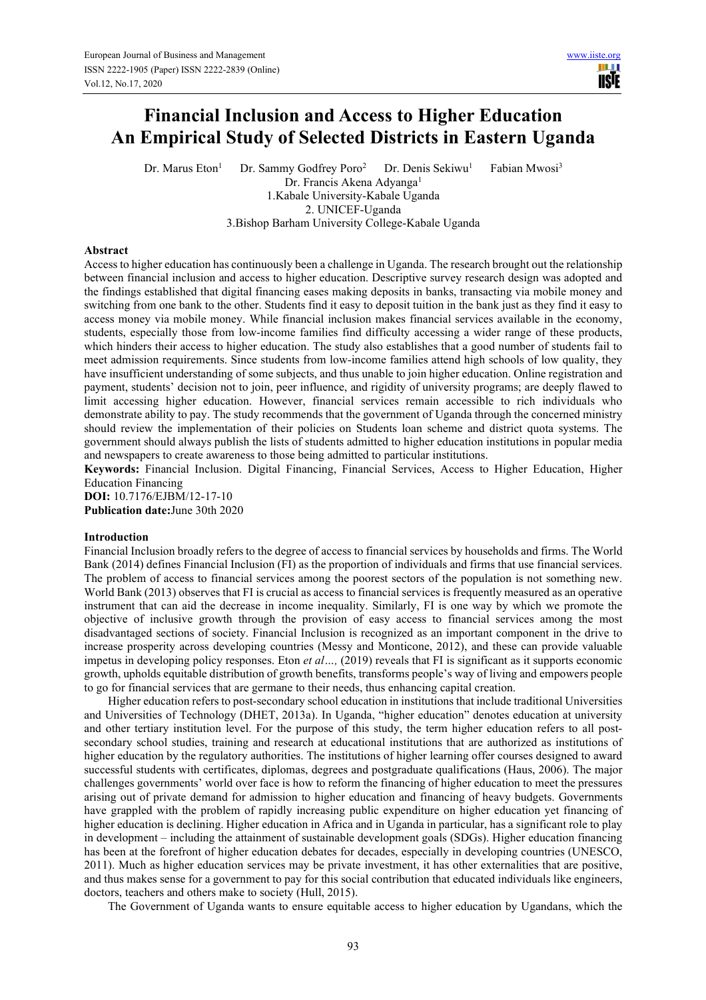HH I **USIE** 

# **Financial Inclusion and Access to Higher Education An Empirical Study of Selected Districts in Eastern Uganda**

Dr. Marus Eton<sup>1</sup> Dr. Sammy Godfrey Poro<sup>2</sup> Dr. Denis Sekiwu<sup>1</sup> Fabian Mwosi<sup>3</sup> Dr. Francis Akena Adyanga<sup>1</sup> 1.Kabale University-Kabale Uganda 2. UNICEF-Uganda

3.Bishop Barham University College-Kabale Uganda

### **Abstract**

Access to higher education has continuously been a challenge in Uganda. The research brought out the relationship between financial inclusion and access to higher education. Descriptive survey research design was adopted and the findings established that digital financing eases making deposits in banks, transacting via mobile money and switching from one bank to the other. Students find it easy to deposit tuition in the bank just as they find it easy to access money via mobile money. While financial inclusion makes financial services available in the economy, students, especially those from low-income families find difficulty accessing a wider range of these products, which hinders their access to higher education. The study also establishes that a good number of students fail to meet admission requirements. Since students from low-income families attend high schools of low quality, they have insufficient understanding of some subjects, and thus unable to join higher education. Online registration and payment, students' decision not to join, peer influence, and rigidity of university programs; are deeply flawed to limit accessing higher education. However, financial services remain accessible to rich individuals who demonstrate ability to pay. The study recommends that the government of Uganda through the concerned ministry should review the implementation of their policies on Students loan scheme and district quota systems. The government should always publish the lists of students admitted to higher education institutions in popular media and newspapers to create awareness to those being admitted to particular institutions.

**Keywords:** Financial Inclusion. Digital Financing, Financial Services, Access to Higher Education, Higher Education Financing

**DOI:** 10.7176/EJBM/12-17-10 **Publication date:**June 30th 2020

## **Introduction**

Financial Inclusion broadly refers to the degree of access to financial services by households and firms. The World Bank (2014) defines Financial Inclusion (FI) as the proportion of individuals and firms that use financial services. The problem of access to financial services among the poorest sectors of the population is not something new. World Bank (2013) observes that FI is crucial as access to financial services is frequently measured as an operative instrument that can aid the decrease in income inequality. Similarly, FI is one way by which we promote the objective of inclusive growth through the provision of easy access to financial services among the most disadvantaged sections of society. Financial Inclusion is recognized as an important component in the drive to increase prosperity across developing countries (Messy and Monticone, 2012), and these can provide valuable impetus in developing policy responses. Eton *et al...*, (2019) reveals that FI is significant as it supports economic growth, upholds equitable distribution of growth benefits, transforms people's way of living and empowers people to go for financial services that are germane to their needs, thus enhancing capital creation.

Higher education refers to post-secondary school education in institutions that include traditional Universities and Universities of Technology (DHET, 2013a). In Uganda, "higher education" denotes education at university and other tertiary institution level. For the purpose of this study, the term higher education refers to all postsecondary school studies, training and research at educational institutions that are authorized as institutions of higher education by the regulatory authorities. The institutions of higher learning offer courses designed to award successful students with certificates, diplomas, degrees and postgraduate qualifications (Haus, 2006). The major challenges governments' world over face is how to reform the financing of higher education to meet the pressures arising out of private demand for admission to higher education and financing of heavy budgets. Governments have grappled with the problem of rapidly increasing public expenditure on higher education yet financing of higher education is declining. Higher education in Africa and in Uganda in particular, has a significant role to play in development – including the attainment of sustainable development goals (SDGs). Higher education financing has been at the forefront of higher education debates for decades, especially in developing countries (UNESCO, 2011). Much as higher education services may be private investment, it has other externalities that are positive, and thus makes sense for a government to pay for this social contribution that educated individuals like engineers, doctors, teachers and others make to society (Hull, 2015).

The Government of Uganda wants to ensure equitable access to higher education by Ugandans, which the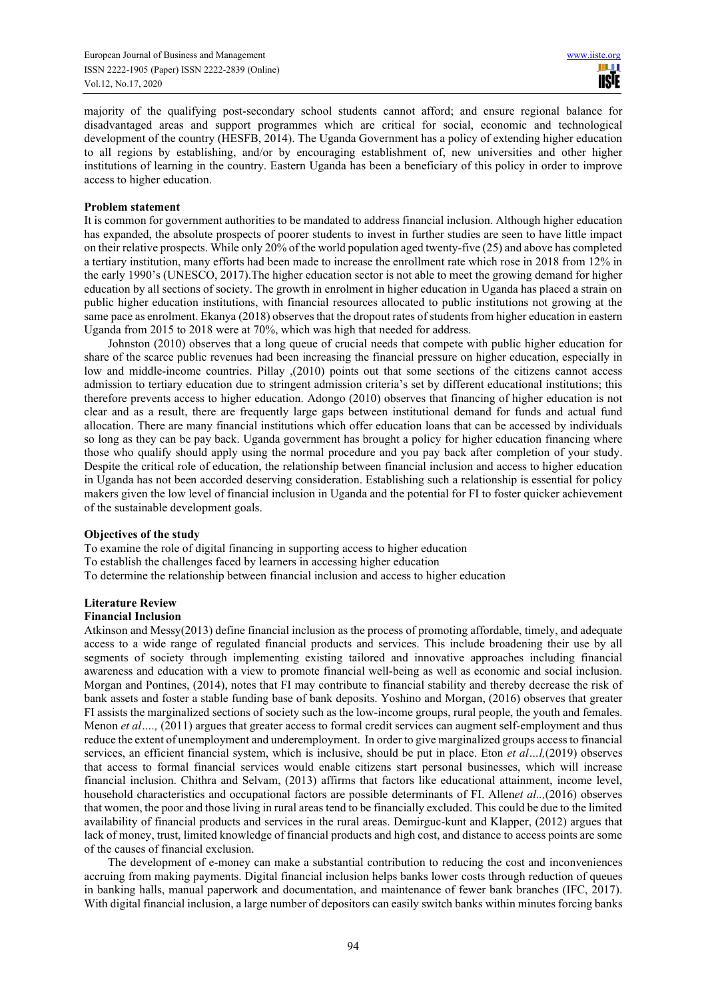majority of the qualifying post-secondary school students cannot afford; and ensure regional balance for disadvantaged areas and support programmes which are critical for social, economic and technological development of the country (HESFB, 2014). The Uganda Government has a policy of extending higher education to all regions by establishing, and/or by encouraging establishment of, new universities and other higher institutions of learning in the country. Eastern Uganda has been a beneficiary of this policy in order to improve access to higher education.

### **Problem statement**

It is common for government authorities to be mandated to address financial inclusion. Although higher education has expanded, the absolute prospects of poorer students to invest in further studies are seen to have little impact on their relative prospects. While only 20% of the world population aged twenty-five (25) and above has completed a tertiary institution, many efforts had been made to increase the enrollment rate which rose in 2018 from 12% in the early 1990's (UNESCO, 2017).The higher education sector is not able to meet the growing demand for higher education by all sections of society. The growth in enrolment in higher education in Uganda has placed a strain on public higher education institutions, with financial resources allocated to public institutions not growing at the same pace as enrolment. Ekanya (2018) observes that the dropout rates of students from higher education in eastern Uganda from 2015 to 2018 were at 70%, which was high that needed for address.

Johnston (2010) observes that a long queue of crucial needs that compete with public higher education for share of the scarce public revenues had been increasing the financial pressure on higher education, especially in low and middle-income countries. Pillay ,(2010) points out that some sections of the citizens cannot access admission to tertiary education due to stringent admission criteria's set by different educational institutions; this therefore prevents access to higher education. Adongo (2010) observes that financing of higher education is not clear and as a result, there are frequently large gaps between institutional demand for funds and actual fund allocation. There are many financial institutions which offer education loans that can be accessed by individuals so long as they can be pay back. Uganda government has brought a policy for higher education financing where those who qualify should apply using the normal procedure and you pay back after completion of your study. Despite the critical role of education, the relationship between financial inclusion and access to higher education in Uganda has not been accorded deserving consideration. Establishing such a relationship is essential for policy makers given the low level of financial inclusion in Uganda and the potential for FI to foster quicker achievement of the sustainable development goals.

#### **Objectives of the study**

To examine the role of digital financing in supporting access to higher education To establish the challenges faced by learners in accessing higher education To determine the relationship between financial inclusion and access to higher education

# **Literature Review**

#### **Financial Inclusion**

Atkinson and Messy(2013) define financial inclusion as the process of promoting affordable, timely, and adequate access to a wide range of regulated financial products and services. This include broadening their use by all segments of society through implementing existing tailored and innovative approaches including financial awareness and education with a view to promote financial well-being as well as economic and social inclusion. Morgan and Pontines, (2014), notes that FI may contribute to financial stability and thereby decrease the risk of bank assets and foster a stable funding base of bank deposits. Yoshino and Morgan, (2016) observes that greater FI assists the marginalized sections of society such as the low-income groups, rural people, the youth and females. Menon *et al....,* (2011) argues that greater access to formal credit services can augment self-employment and thus reduce the extent of unemployment and underemployment. In order to give marginalized groups access to financial services, an efficient financial system, which is inclusive, should be put in place. Eton *et al…l,*(2019) observes that access to formal financial services would enable citizens start personal businesses, which will increase financial inclusion. Chithra and Selvam, (2013) affirms that factors like educational attainment, income level, household characteristics and occupational factors are possible determinants of FI. Allen*et al..,*(2016) observes that women, the poor and those living in rural areas tend to be financially excluded. This could be due to the limited availability of financial products and services in the rural areas. Demirguc-kunt and Klapper, (2012) argues that lack of money, trust, limited knowledge of financial products and high cost, and distance to access points are some of the causes of financial exclusion.

The development of e-money can make a substantial contribution to reducing the cost and inconveniences accruing from making payments. Digital financial inclusion helps banks lower costs through reduction of queues in banking halls, manual paperwork and documentation, and maintenance of fewer bank branches (IFC, 2017). With digital financial inclusion, a large number of depositors can easily switch banks within minutes forcing banks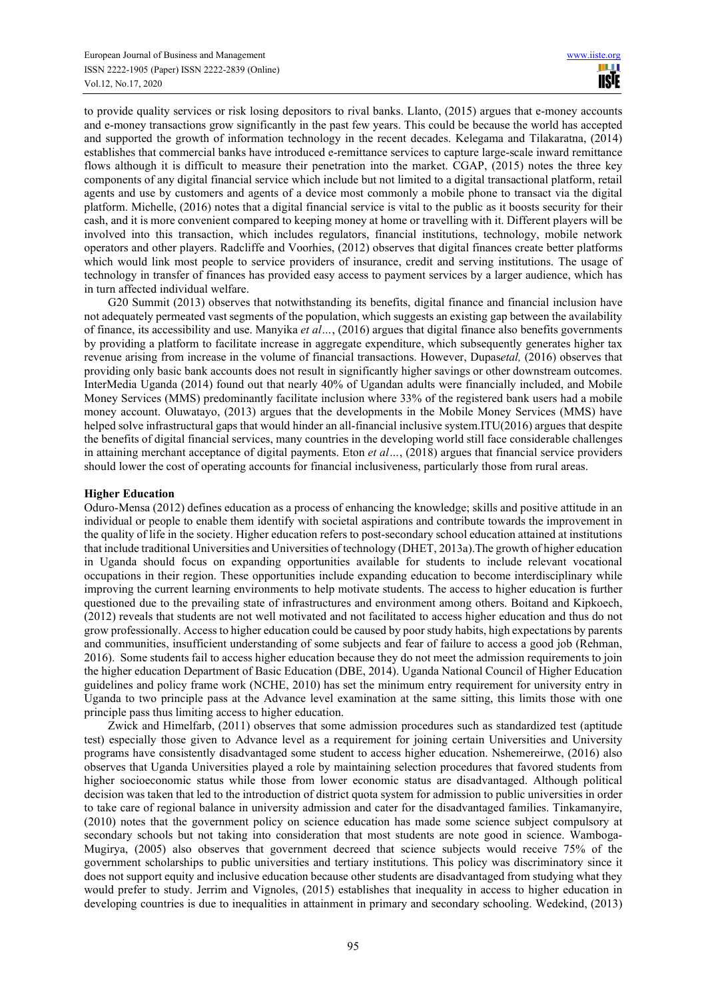to provide quality services or risk losing depositors to rival banks. Llanto, (2015) argues that e-money accounts and e-money transactions grow significantly in the past few years. This could be because the world has accepted and supported the growth of information technology in the recent decades. Kelegama and Tilakaratna, (2014) establishes that commercial banks have introduced e-remittance services to capture large-scale inward remittance flows although it is difficult to measure their penetration into the market. CGAP, (2015) notes the three key components of any digital financial service which include but not limited to a digital transactional platform, retail agents and use by customers and agents of a device most commonly a mobile phone to transact via the digital platform. Michelle, (2016) notes that a digital financial service is vital to the public as it boosts security for their cash, and it is more convenient compared to keeping money at home or travelling with it. Different players will be involved into this transaction, which includes regulators, financial institutions, technology, mobile network operators and other players. Radcliffe and Voorhies, (2012) observes that digital finances create better platforms which would link most people to service providers of insurance, credit and serving institutions. The usage of technology in transfer of finances has provided easy access to payment services by a larger audience, which has in turn affected individual welfare.

G20 Summit (2013) observes that notwithstanding its benefits, digital finance and financial inclusion have not adequately permeated vast segments of the population, which suggests an existing gap between the availability of finance, its accessibility and use. Manyika *et al…*, (2016) argues that digital finance also benefits governments by providing a platform to facilitate increase in aggregate expenditure, which subsequently generates higher tax revenue arising from increase in the volume of financial transactions. However, Dupas*etal,* (2016) observes that providing only basic bank accounts does not result in significantly higher savings or other downstream outcomes. InterMedia Uganda (2014) found out that nearly 40% of Ugandan adults were financially included, and Mobile Money Services (MMS) predominantly facilitate inclusion where 33% of the registered bank users had a mobile money account. Oluwatayo, (2013) argues that the developments in the Mobile Money Services (MMS) have helped solve infrastructural gaps that would hinder an all-financial inclusive system.ITU(2016) argues that despite the benefits of digital financial services, many countries in the developing world still face considerable challenges in attaining merchant acceptance of digital payments. Eton *et al…*, (2018) argues that financial service providers should lower the cost of operating accounts for financial inclusiveness, particularly those from rural areas.

## **Higher Education**

Oduro-Mensa (2012) defines education as a process of enhancing the knowledge; skills and positive attitude in an individual or people to enable them identify with societal aspirations and contribute towards the improvement in the quality of life in the society. Higher education refers to post-secondary school education attained at institutions that include traditional Universities and Universities of technology (DHET, 2013a).The growth of higher education in Uganda should focus on expanding opportunities available for students to include relevant vocational occupations in their region. These opportunities include expanding education to become interdisciplinary while improving the current learning environments to help motivate students. The access to higher education is further questioned due to the prevailing state of infrastructures and environment among others. Boitand and Kipkoech, (2012) reveals that students are not well motivated and not facilitated to access higher education and thus do not grow professionally. Access to higher education could be caused by poor study habits, high expectations by parents and communities, insufficient understanding of some subjects and fear of failure to access a good job (Rehman, 2016). Some students fail to access higher education because they do not meet the admission requirements to join the higher education Department of Basic Education (DBE, 2014). Uganda National Council of Higher Education guidelines and policy frame work (NCHE, 2010) has set the minimum entry requirement for university entry in Uganda to two principle pass at the Advance level examination at the same sitting, this limits those with one principle pass thus limiting access to higher education.

Zwick and Himelfarb, (2011) observes that some admission procedures such as standardized test (aptitude test) especially those given to Advance level as a requirement for joining certain Universities and University programs have consistently disadvantaged some student to access higher education. Nshemereirwe, (2016) also observes that Uganda Universities played a role by maintaining selection procedures that favored students from higher socioeconomic status while those from lower economic status are disadvantaged. Although political decision was taken that led to the introduction of district quota system for admission to public universities in order to take care of regional balance in university admission and cater for the disadvantaged families. Tinkamanyire, (2010) notes that the government policy on science education has made some science subject compulsory at secondary schools but not taking into consideration that most students are note good in science. Wamboga-Mugirya, (2005) also observes that government decreed that science subjects would receive 75% of the government scholarships to public universities and tertiary institutions. This policy was discriminatory since it does not support equity and inclusive education because other students are disadvantaged from studying what they would prefer to study. Jerrim and Vignoles, (2015) establishes that inequality in access to higher education in developing countries is due to inequalities in attainment in primary and secondary schooling. Wedekind, (2013)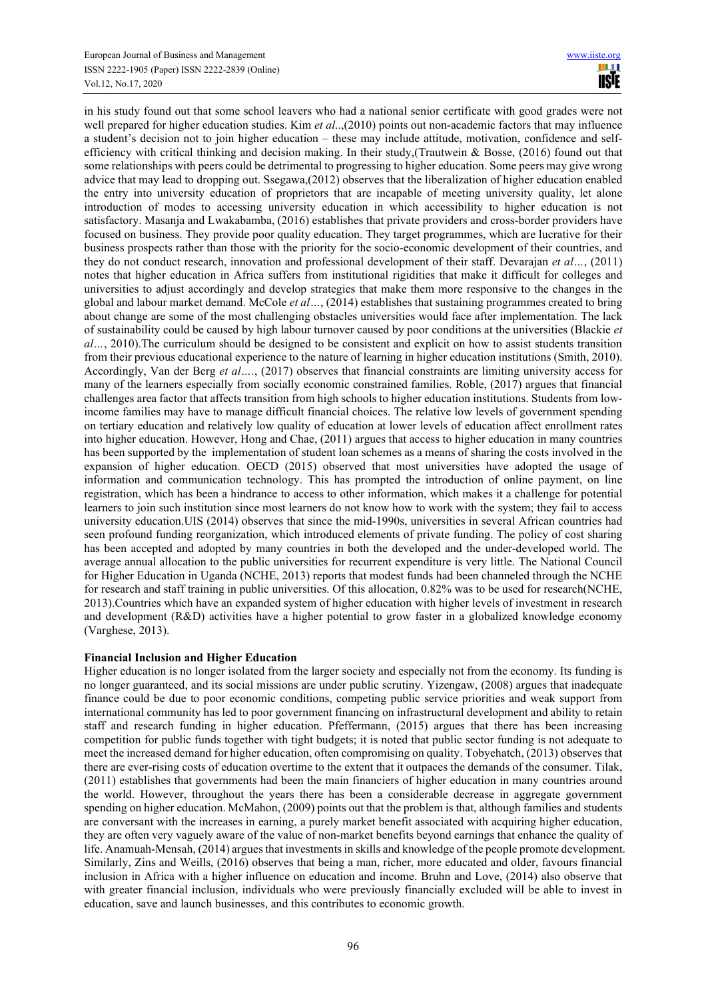in his study found out that some school leavers who had a national senior certificate with good grades were not well prepared for higher education studies. Kim *et al..*,(2010) points out non-academic factors that may influence a student's decision not to join higher education – these may include attitude, motivation, confidence and selfefficiency with critical thinking and decision making. In their study,(Trautwein & Bosse, (2016) found out that some relationships with peers could be detrimental to progressing to higher education. Some peers may give wrong advice that may lead to dropping out. Ssegawa,(2012) observes that the liberalization of higher education enabled the entry into university education of proprietors that are incapable of meeting university quality, let alone introduction of modes to accessing university education in which accessibility to higher education is not satisfactory. Masanja and Lwakabamba, (2016) establishes that private providers and cross-border providers have focused on business. They provide poor quality education. They target programmes, which are lucrative for their business prospects rather than those with the priority for the socio-economic development of their countries, and they do not conduct research, innovation and professional development of their staff. Devarajan *et al…*, (2011) notes that higher education in Africa suffers from institutional rigidities that make it difficult for colleges and universities to adjust accordingly and develop strategies that make them more responsive to the changes in the global and labour market demand. McCole *et al…*, (2014) establishes that sustaining programmes created to bring about change are some of the most challenging obstacles universities would face after implementation. The lack of sustainability could be caused by high labour turnover caused by poor conditions at the universities (Blackie *et al…*, 2010).The curriculum should be designed to be consistent and explicit on how to assist students transition from their previous educational experience to the nature of learning in higher education institutions (Smith, 2010). Accordingly, Van der Berg *et al….*, (2017) observes that financial constraints are limiting university access for many of the learners especially from socially economic constrained families. Roble, (2017) argues that financial challenges area factor that affects transition from high schools to higher education institutions. Students from lowincome families may have to manage difficult financial choices. The relative low levels of government spending on tertiary education and relatively low quality of education at lower levels of education affect enrollment rates into higher education. However, Hong and Chae, (2011) argues that access to higher education in many countries has been supported by the implementation of student loan schemes as a means of sharing the costs involved in the expansion of higher education. OECD (2015) observed that most universities have adopted the usage of information and communication technology. This has prompted the introduction of online payment, on line registration, which has been a hindrance to access to other information, which makes it a challenge for potential learners to join such institution since most learners do not know how to work with the system; they fail to access university education.UIS (2014) observes that since the mid-1990s, universities in several African countries had seen profound funding reorganization, which introduced elements of private funding. The policy of cost sharing has been accepted and adopted by many countries in both the developed and the under-developed world. The average annual allocation to the public universities for recurrent expenditure is very little. The National Council for Higher Education in Uganda (NCHE, 2013) reports that modest funds had been channeled through the NCHE for research and staff training in public universities. Of this allocation, 0.82% was to be used for research(NCHE, 2013).Countries which have an expanded system of higher education with higher levels of investment in research and development (R&D) activities have a higher potential to grow faster in a globalized knowledge economy (Varghese, 2013).

# **Financial Inclusion and Higher Education**

Higher education is no longer isolated from the larger society and especially not from the economy. Its funding is no longer guaranteed, and its social missions are under public scrutiny. Yizengaw, (2008) argues that inadequate finance could be due to poor economic conditions, competing public service priorities and weak support from international community has led to poor government financing on infrastructural development and ability to retain staff and research funding in higher education. Pfeffermann, (2015) argues that there has been increasing competition for public funds together with tight budgets; it is noted that public sector funding is not adequate to meet the increased demand for higher education, often compromising on quality. Tobyehatch, (2013) observes that there are ever-rising costs of education overtime to the extent that it outpaces the demands of the consumer. Tilak, (2011) establishes that governments had been the main financiers of higher education in many countries around the world. However, throughout the years there has been a considerable decrease in aggregate government spending on higher education. McMahon, (2009) points out that the problem is that, although families and students are conversant with the increases in earning, a purely market benefit associated with acquiring higher education, they are often very vaguely aware of the value of non-market benefits beyond earnings that enhance the quality of life. Anamuah-Mensah, (2014) argues that investments in skills and knowledge of the people promote development. Similarly, Zins and Weills, (2016) observes that being a man, richer, more educated and older, favours financial inclusion in Africa with a higher influence on education and income. Bruhn and Love, (2014) also observe that with greater financial inclusion, individuals who were previously financially excluded will be able to invest in education, save and launch businesses, and this contributes to economic growth.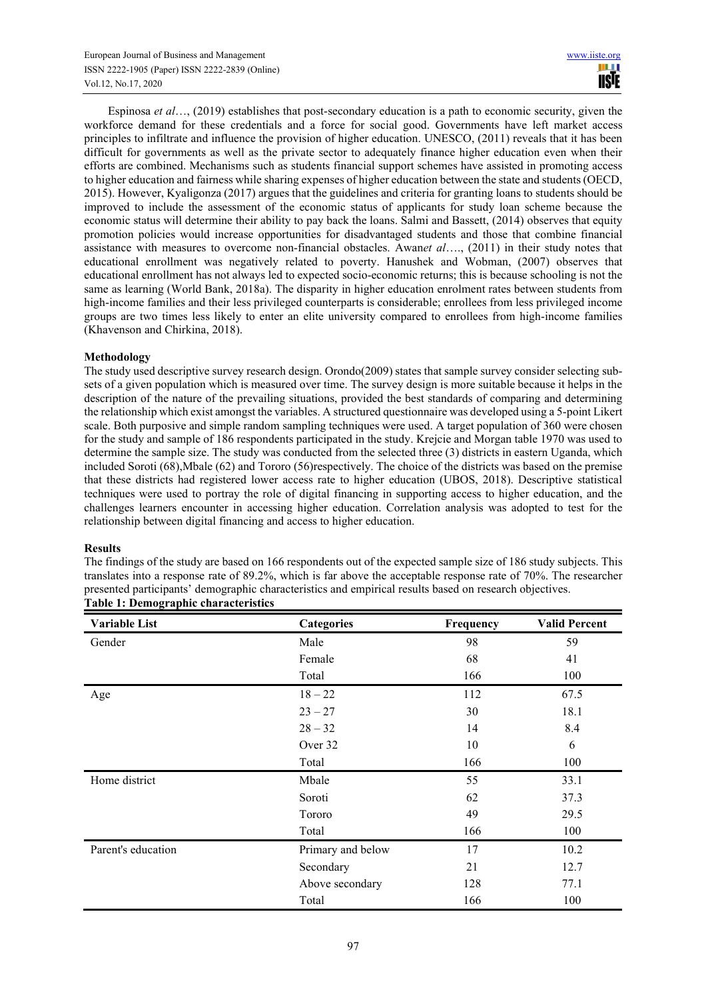Espinosa *et al*…, (2019) establishes that post-secondary education is a path to economic security, given the workforce demand for these credentials and a force for social good. Governments have left market access principles to infiltrate and influence the provision of higher education. UNESCO, (2011) reveals that it has been difficult for governments as well as the private sector to adequately finance higher education even when their efforts are combined. Mechanisms such as students financial support schemes have assisted in promoting access to higher education and fairness while sharing expenses of higher education between the state and students (OECD, 2015). However, Kyaligonza (2017) argues that the guidelines and criteria for granting loans to students should be improved to include the assessment of the economic status of applicants for study loan scheme because the economic status will determine their ability to pay back the loans. Salmi and Bassett, (2014) observes that equity promotion policies would increase opportunities for disadvantaged students and those that combine financial assistance with measures to overcome non-financial obstacles. Awan*et al*…., (2011) in their study notes that educational enrollment was negatively related to poverty. Hanushek and Wobman, (2007) observes that educational enrollment has not always led to expected socio-economic returns; this is because schooling is not the same as learning (World Bank, 2018a). The disparity in higher education enrolment rates between students from high-income families and their less privileged counterparts is considerable; enrollees from less privileged income groups are two times less likely to enter an elite university compared to enrollees from high-income families (Khavenson and Chirkina, 2018).

# **Methodology**

The study used descriptive survey research design. Orondo(2009) states that sample survey consider selecting subsets of a given population which is measured over time. The survey design is more suitable because it helps in the description of the nature of the prevailing situations, provided the best standards of comparing and determining the relationship which exist amongst the variables. A structured questionnaire was developed using a 5-point Likert scale. Both purposive and simple random sampling techniques were used. A target population of 360 were chosen for the study and sample of 186 respondents participated in the study. Krejcie and Morgan table 1970 was used to determine the sample size. The study was conducted from the selected three (3) districts in eastern Uganda, which included Soroti (68),Mbale (62) and Tororo (56)respectively. The choice of the districts was based on the premise that these districts had registered lower access rate to higher education (UBOS, 2018). Descriptive statistical techniques were used to portray the role of digital financing in supporting access to higher education, and the challenges learners encounter in accessing higher education. Correlation analysis was adopted to test for the relationship between digital financing and access to higher education.

# **Results**

The findings of the study are based on 166 respondents out of the expected sample size of 186 study subjects. This translates into a response rate of 89.2%, which is far above the acceptable response rate of 70%. The researcher presented participants' demographic characteristics and empirical results based on research objectives. **Table 1: Demographic characteristics** 

| <b>Variable List</b> | Categories        |     | <b>Valid Percent</b> |  |  |
|----------------------|-------------------|-----|----------------------|--|--|
| Gender               | Male              | 98  | 59                   |  |  |
|                      | Female            | 68  | 41                   |  |  |
|                      | Total             | 166 | 100                  |  |  |
| Age                  | $18 - 22$         | 112 | 67.5                 |  |  |
|                      | $23 - 27$         | 30  | 18.1                 |  |  |
|                      | $28 - 32$         | 14  | 8.4                  |  |  |
|                      | Over 32           | 10  | 6                    |  |  |
|                      | Total             | 166 | 100                  |  |  |
| Home district        | Mbale             | 55  | 33.1                 |  |  |
|                      | Soroti            | 62  | 37.3                 |  |  |
|                      | Tororo            | 49  | 29.5                 |  |  |
|                      | Total             | 166 | 100                  |  |  |
| Parent's education   | Primary and below | 17  | 10.2                 |  |  |
|                      | Secondary         | 21  | 12.7                 |  |  |
|                      | Above secondary   | 128 | 77.1                 |  |  |
|                      | Total             | 166 | 100                  |  |  |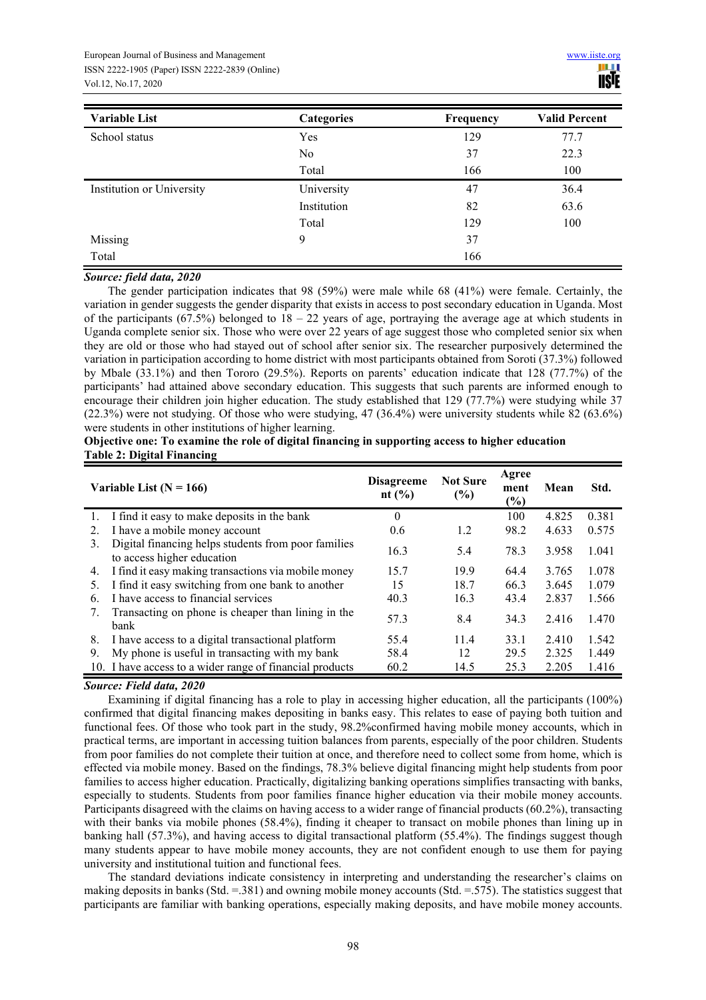| <b>Variable List</b>      | Categories  | Frequency | <b>Valid Percent</b> |  |
|---------------------------|-------------|-----------|----------------------|--|
| School status             | Yes         | 129       | 77.7                 |  |
|                           | No          | 37        | 22.3                 |  |
|                           | Total       | 166       | 100                  |  |
| Institution or University | University  | 47        | 36.4                 |  |
|                           | Institution | 82        | 63.6                 |  |
|                           | Total       | 129       | 100                  |  |
| Missing                   | 9           | 37        |                      |  |
| Total                     |             | 166       |                      |  |

## *Source: field data, 2020*

The gender participation indicates that 98 (59%) were male while 68 (41%) were female. Certainly, the variation in gender suggests the gender disparity that exists in access to post secondary education in Uganda. Most of the participants (67.5%) belonged to  $18 - 22$  years of age, portraying the average age at which students in Uganda complete senior six. Those who were over 22 years of age suggest those who completed senior six when they are old or those who had stayed out of school after senior six. The researcher purposively determined the variation in participation according to home district with most participants obtained from Soroti (37.3%) followed by Mbale (33.1%) and then Tororo (29.5%). Reports on parents' education indicate that 128 (77.7%) of the participants' had attained above secondary education. This suggests that such parents are informed enough to encourage their children join higher education. The study established that 129 (77.7%) were studying while 37 (22.3%) were not studying. Of those who were studying, 47 (36.4%) were university students while 82 (63.6%) were students in other institutions of higher learning.

| Objective one: To examine the role of digital financing in supporting access to higher education |  |  |
|--------------------------------------------------------------------------------------------------|--|--|
| <b>Table 2: Digital Financing</b>                                                                |  |  |

| Variable List $(N = 166)$ |                                                                                   | <b>Disagreeme</b><br>nt $(\% )$ | <b>Not Sure</b><br>(%) | Agree<br>ment<br>$(\%)$ | Mean  | Std.  |
|---------------------------|-----------------------------------------------------------------------------------|---------------------------------|------------------------|-------------------------|-------|-------|
|                           | 1. I find it easy to make deposits in the bank                                    | $\theta$                        |                        | 100                     | 4.825 | 0.381 |
| 2.                        | I have a mobile money account                                                     | 0.6                             | 1.2                    | 98.2                    | 4.633 | 0.575 |
| 3.                        | Digital financing helps students from poor families<br>to access higher education | 16.3                            | 5.4                    | 78.3                    | 3.958 | 1.041 |
| 4.                        | I find it easy making transactions via mobile money                               | 15.7                            | 19.9                   | 64.4                    | 3.765 | 1.078 |
| 5.                        | I find it easy switching from one bank to another                                 | 15                              | 18.7                   | 66.3                    | 3.645 | 1.079 |
| 6.                        | I have access to financial services                                               | 40.3                            | 16.3                   | 43.4                    | 2.837 | 1.566 |
| 7.                        | Transacting on phone is cheaper than lining in the<br>bank                        | 57.3                            | 8.4                    | 34.3                    | 2.416 | 1.470 |
| 8.                        | I have access to a digital transactional platform                                 | 55.4                            | 11.4                   | 33.1                    | 2.410 | 1.542 |
| 9.                        | My phone is useful in transacting with my bank                                    | 58.4                            | 12                     | 29.5                    | 2.325 | 1.449 |
|                           | 10. I have access to a wider range of financial products                          | 60.2                            | 14.5                   | 25.3                    | 2.205 | 1.416 |

# *Source: Field data, 2020*

Examining if digital financing has a role to play in accessing higher education, all the participants (100%) confirmed that digital financing makes depositing in banks easy. This relates to ease of paying both tuition and functional fees. Of those who took part in the study, 98.2%confirmed having mobile money accounts, which in practical terms, are important in accessing tuition balances from parents, especially of the poor children. Students from poor families do not complete their tuition at once, and therefore need to collect some from home, which is effected via mobile money. Based on the findings, 78.3% believe digital financing might help students from poor families to access higher education. Practically, digitalizing banking operations simplifies transacting with banks, especially to students. Students from poor families finance higher education via their mobile money accounts. Participants disagreed with the claims on having access to a wider range of financial products (60.2%), transacting with their banks via mobile phones (58.4%), finding it cheaper to transact on mobile phones than lining up in banking hall (57.3%), and having access to digital transactional platform (55.4%). The findings suggest though many students appear to have mobile money accounts, they are not confident enough to use them for paying university and institutional tuition and functional fees.

The standard deviations indicate consistency in interpreting and understanding the researcher's claims on making deposits in banks (Std. =.381) and owning mobile money accounts (Std. =.575). The statistics suggest that participants are familiar with banking operations, especially making deposits, and have mobile money accounts.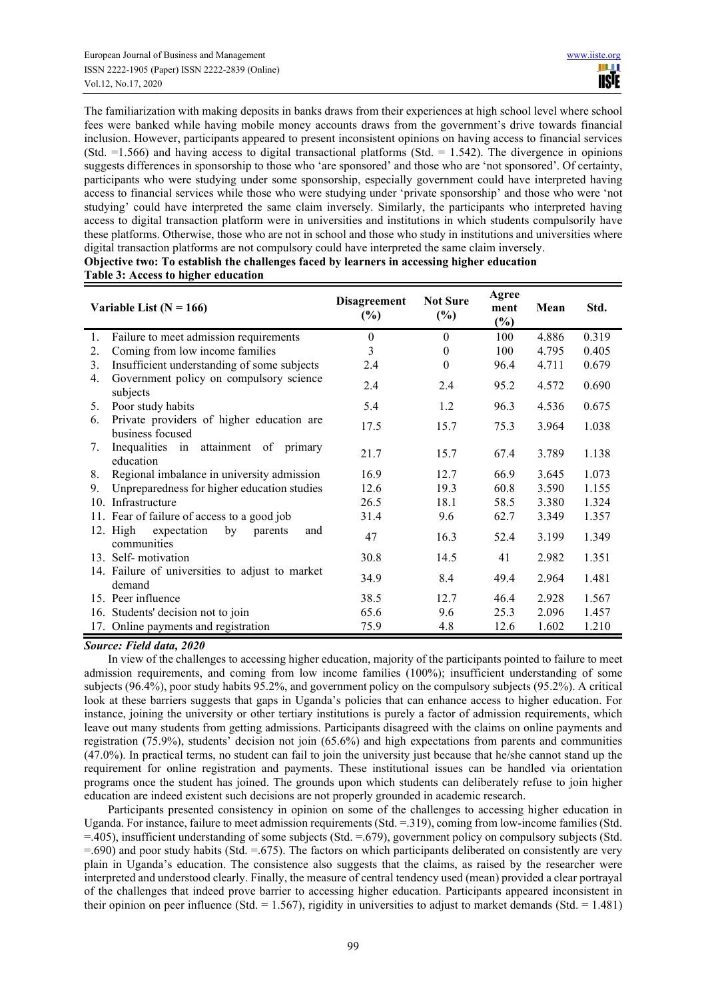The familiarization with making deposits in banks draws from their experiences at high school level where school fees were banked while having mobile money accounts draws from the government's drive towards financial inclusion. However, participants appeared to present inconsistent opinions on having access to financial services (Std.  $=1.566$ ) and having access to digital transactional platforms (Std.  $= 1.542$ ). The divergence in opinions suggests differences in sponsorship to those who 'are sponsored' and those who are 'not sponsored'. Of certainty, participants who were studying under some sponsorship, especially government could have interpreted having access to financial services while those who were studying under 'private sponsorship' and those who were 'not studying' could have interpreted the same claim inversely. Similarly, the participants who interpreted having access to digital transaction platform were in universities and institutions in which students compulsorily have these platforms. Otherwise, those who are not in school and those who study in institutions and universities where digital transaction platforms are not compulsory could have interpreted the same claim inversely.

**Objective two: To establish the challenges faced by learners in accessing higher education Table 3: Access to higher education** 

| Variable List ( $N = 166$ ) |                                                                | <b>Disagreement</b><br>$(\%)$ | <b>Not Sure</b><br>$(\%)$ | Agree<br>ment<br>$(\%)$ | Mean  | Std.  |
|-----------------------------|----------------------------------------------------------------|-------------------------------|---------------------------|-------------------------|-------|-------|
| 1.                          | Failure to meet admission requirements                         | $\theta$                      | $\theta$                  | 100                     | 4.886 | 0.319 |
| 2.                          | Coming from low income families                                | 3                             | $\boldsymbol{0}$          | 100                     | 4.795 | 0.405 |
| 3.                          | Insufficient understanding of some subjects                    | 2.4                           | $\boldsymbol{0}$          | 96.4                    | 4.711 | 0.679 |
| 4.                          | Government policy on compulsory science<br>subjects            | 2.4                           | 2.4                       | 95.2                    | 4.572 | 0.690 |
| 5.                          | Poor study habits                                              | 5.4                           | 1.2                       | 96.3                    | 4.536 | 0.675 |
| 6.                          | Private providers of higher education are<br>business focused  | 17.5                          | 15.7                      | 75.3                    | 3.964 | 1.038 |
| 7.                          | Inequalities in attainment of primary<br>education             | 21.7                          | 15.7                      | 67.4                    | 3.789 | 1.138 |
| 8.                          | Regional imbalance in university admission                     | 16.9                          | 12.7                      | 66.9                    | 3.645 | 1.073 |
| 9.                          | Unpreparedness for higher education studies                    | 12.6                          | 19.3                      | 60.8                    | 3.590 | 1.155 |
| 10.                         | Infrastructure                                                 | 26.5                          | 18.1                      | 58.5                    | 3.380 | 1.324 |
|                             | 11. Fear of failure of access to a good job                    | 31.4                          | 9.6                       | 62.7                    | 3.349 | 1.357 |
|                             | 12. High<br>by<br>expectation<br>and<br>parents<br>communities | 47                            | 16.3                      | 52.4                    | 3.199 | 1.349 |
|                             | 13. Self-motivation                                            | 30.8                          | 14.5                      | 41                      | 2.982 | 1.351 |
|                             | 14. Failure of universities to adjust to market<br>demand      | 34.9                          | 8.4                       | 49.4                    | 2.964 | 1.481 |
|                             | 15. Peer influence                                             | 38.5                          | 12.7                      | 46.4                    | 2.928 | 1.567 |
|                             | 16. Students' decision not to join                             | 65.6                          | 9.6                       | 25.3                    | 2.096 | 1.457 |
|                             | 17. Online payments and registration                           | 75.9                          | 4.8                       | 12.6                    | 1.602 | 1.210 |

# *Source: Field data, 2020*

In view of the challenges to accessing higher education, majority of the participants pointed to failure to meet admission requirements, and coming from low income families (100%); insufficient understanding of some subjects (96.4%), poor study habits 95.2%, and government policy on the compulsory subjects (95.2%). A critical look at these barriers suggests that gaps in Uganda's policies that can enhance access to higher education. For instance, joining the university or other tertiary institutions is purely a factor of admission requirements, which leave out many students from getting admissions. Participants disagreed with the claims on online payments and registration (75.9%), students' decision not join (65.6%) and high expectations from parents and communities (47.0%). In practical terms, no student can fail to join the university just because that he/she cannot stand up the requirement for online registration and payments. These institutional issues can be handled via orientation programs once the student has joined. The grounds upon which students can deliberately refuse to join higher education are indeed existent such decisions are not properly grounded in academic research.

Participants presented consistency in opinion on some of the challenges to accessing higher education in Uganda. For instance, failure to meet admission requirements (Std. = 319), coming from low-income families (Std. =.405), insufficient understanding of some subjects (Std. =.679), government policy on compulsory subjects (Std.  $=690$ ) and poor study habits (Std.  $=675$ ). The factors on which participants deliberated on consistently are very plain in Uganda's education. The consistence also suggests that the claims, as raised by the researcher were interpreted and understood clearly. Finally, the measure of central tendency used (mean) provided a clear portrayal of the challenges that indeed prove barrier to accessing higher education. Participants appeared inconsistent in their opinion on peer influence (Std.  $= 1.567$ ), rigidity in universities to adjust to market demands (Std.  $= 1.481$ )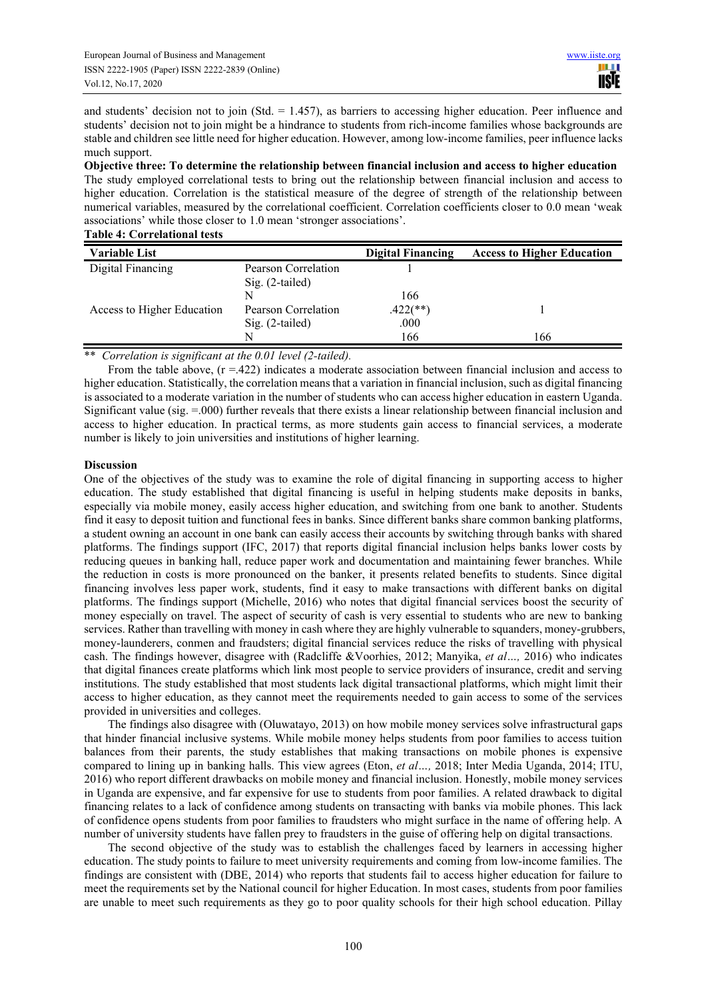and students' decision not to join (Std.  $= 1.457$ ), as barriers to accessing higher education. Peer influence and students' decision not to join might be a hindrance to students from rich-income families whose backgrounds are stable and children see little need for higher education. However, among low-income families, peer influence lacks much support.

**Objective three: To determine the relationship between financial inclusion and access to higher education**  The study employed correlational tests to bring out the relationship between financial inclusion and access to higher education. Correlation is the statistical measure of the degree of strength of the relationship between numerical variables, measured by the correlational coefficient. Correlation coefficients closer to 0.0 mean 'weak associations' while those closer to 1.0 mean 'stronger associations'.

| <b>Table 4: Correlational tests</b> |  |
|-------------------------------------|--|
|-------------------------------------|--|

| <b>Variable List</b>       |                     | <b>Digital Financing</b> | <b>Access to Higher Education</b> |
|----------------------------|---------------------|--------------------------|-----------------------------------|
| Digital Financing          | Pearson Correlation |                          |                                   |
|                            | $Sig. (2-tailed)$   |                          |                                   |
|                            | N                   | 166                      |                                   |
| Access to Higher Education | Pearson Correlation | $.422$ (**)              |                                   |
|                            | $Sig. (2-tailed)$   | .000                     |                                   |
|                            | N                   | 166                      | 166                               |

\*\* *Correlation is significant at the 0.01 level (2-tailed).*

From the table above,  $(r = .422)$  indicates a moderate association between financial inclusion and access to higher education. Statistically, the correlation means that a variation in financial inclusion, such as digital financing is associated to a moderate variation in the number of students who can access higher education in eastern Uganda. Significant value (sig.  $=0.00$ ) further reveals that there exists a linear relationship between financial inclusion and access to higher education. In practical terms, as more students gain access to financial services, a moderate number is likely to join universities and institutions of higher learning.

# **Discussion**

One of the objectives of the study was to examine the role of digital financing in supporting access to higher education. The study established that digital financing is useful in helping students make deposits in banks, especially via mobile money, easily access higher education, and switching from one bank to another. Students find it easy to deposit tuition and functional fees in banks. Since different banks share common banking platforms, a student owning an account in one bank can easily access their accounts by switching through banks with shared platforms. The findings support (IFC, 2017) that reports digital financial inclusion helps banks lower costs by reducing queues in banking hall, reduce paper work and documentation and maintaining fewer branches. While the reduction in costs is more pronounced on the banker, it presents related benefits to students. Since digital financing involves less paper work, students, find it easy to make transactions with different banks on digital platforms. The findings support (Michelle, 2016) who notes that digital financial services boost the security of money especially on travel. The aspect of security of cash is very essential to students who are new to banking services. Rather than travelling with money in cash where they are highly vulnerable to squanders, money-grubbers, money-launderers, conmen and fraudsters; digital financial services reduce the risks of travelling with physical cash. The findings however, disagree with (Radcliffe &Voorhies, 2012; Manyika, *et al…,* 2016) who indicates that digital finances create platforms which link most people to service providers of insurance, credit and serving institutions. The study established that most students lack digital transactional platforms, which might limit their access to higher education, as they cannot meet the requirements needed to gain access to some of the services provided in universities and colleges.

The findings also disagree with (Oluwatayo, 2013) on how mobile money services solve infrastructural gaps that hinder financial inclusive systems. While mobile money helps students from poor families to access tuition balances from their parents, the study establishes that making transactions on mobile phones is expensive compared to lining up in banking halls. This view agrees (Eton, *et al…,* 2018; Inter Media Uganda, 2014; ITU, 2016) who report different drawbacks on mobile money and financial inclusion. Honestly, mobile money services in Uganda are expensive, and far expensive for use to students from poor families. A related drawback to digital financing relates to a lack of confidence among students on transacting with banks via mobile phones. This lack of confidence opens students from poor families to fraudsters who might surface in the name of offering help. A number of university students have fallen prey to fraudsters in the guise of offering help on digital transactions.

The second objective of the study was to establish the challenges faced by learners in accessing higher education. The study points to failure to meet university requirements and coming from low-income families. The findings are consistent with (DBE, 2014) who reports that students fail to access higher education for failure to meet the requirements set by the National council for higher Education. In most cases, students from poor families are unable to meet such requirements as they go to poor quality schools for their high school education. Pillay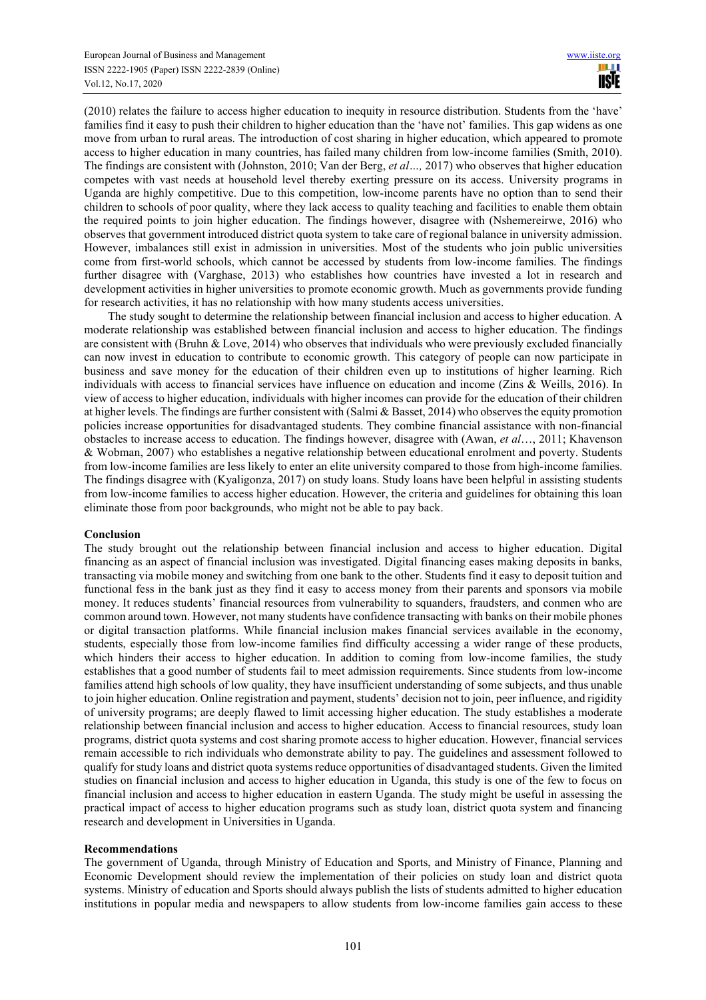(2010) relates the failure to access higher education to inequity in resource distribution. Students from the 'have' families find it easy to push their children to higher education than the 'have not' families. This gap widens as one move from urban to rural areas. The introduction of cost sharing in higher education, which appeared to promote access to higher education in many countries, has failed many children from low-income families (Smith, 2010). The findings are consistent with (Johnston, 2010; Van der Berg, *et al…,* 2017) who observes that higher education competes with vast needs at household level thereby exerting pressure on its access. University programs in Uganda are highly competitive. Due to this competition, low-income parents have no option than to send their children to schools of poor quality, where they lack access to quality teaching and facilities to enable them obtain the required points to join higher education. The findings however, disagree with (Nshemereirwe, 2016) who observes that government introduced district quota system to take care of regional balance in university admission. However, imbalances still exist in admission in universities. Most of the students who join public universities come from first-world schools, which cannot be accessed by students from low-income families. The findings further disagree with (Varghase, 2013) who establishes how countries have invested a lot in research and development activities in higher universities to promote economic growth. Much as governments provide funding for research activities, it has no relationship with how many students access universities.

The study sought to determine the relationship between financial inclusion and access to higher education. A moderate relationship was established between financial inclusion and access to higher education. The findings are consistent with (Bruhn & Love, 2014) who observes that individuals who were previously excluded financially can now invest in education to contribute to economic growth. This category of people can now participate in business and save money for the education of their children even up to institutions of higher learning. Rich individuals with access to financial services have influence on education and income (Zins & Weills, 2016). In view of access to higher education, individuals with higher incomes can provide for the education of their children at higher levels. The findings are further consistent with (Salmi & Basset, 2014) who observes the equity promotion policies increase opportunities for disadvantaged students. They combine financial assistance with non-financial obstacles to increase access to education. The findings however, disagree with (Awan, *et al*…, 2011; Khavenson & Wobman, 2007) who establishes a negative relationship between educational enrolment and poverty. Students from low-income families are less likely to enter an elite university compared to those from high-income families. The findings disagree with (Kyaligonza, 2017) on study loans. Study loans have been helpful in assisting students from low-income families to access higher education. However, the criteria and guidelines for obtaining this loan eliminate those from poor backgrounds, who might not be able to pay back.

#### **Conclusion**

The study brought out the relationship between financial inclusion and access to higher education. Digital financing as an aspect of financial inclusion was investigated. Digital financing eases making deposits in banks, transacting via mobile money and switching from one bank to the other. Students find it easy to deposit tuition and functional fess in the bank just as they find it easy to access money from their parents and sponsors via mobile money. It reduces students' financial resources from vulnerability to squanders, fraudsters, and conmen who are common around town. However, not many students have confidence transacting with banks on their mobile phones or digital transaction platforms. While financial inclusion makes financial services available in the economy, students, especially those from low-income families find difficulty accessing a wider range of these products, which hinders their access to higher education. In addition to coming from low-income families, the study establishes that a good number of students fail to meet admission requirements. Since students from low-income families attend high schools of low quality, they have insufficient understanding of some subjects, and thus unable to join higher education. Online registration and payment, students' decision not to join, peer influence, and rigidity of university programs; are deeply flawed to limit accessing higher education. The study establishes a moderate relationship between financial inclusion and access to higher education. Access to financial resources, study loan programs, district quota systems and cost sharing promote access to higher education. However, financial services remain accessible to rich individuals who demonstrate ability to pay. The guidelines and assessment followed to qualify for study loans and district quota systems reduce opportunities of disadvantaged students. Given the limited studies on financial inclusion and access to higher education in Uganda, this study is one of the few to focus on financial inclusion and access to higher education in eastern Uganda. The study might be useful in assessing the practical impact of access to higher education programs such as study loan, district quota system and financing research and development in Universities in Uganda.

#### **Recommendations**

The government of Uganda, through Ministry of Education and Sports, and Ministry of Finance, Planning and Economic Development should review the implementation of their policies on study loan and district quota systems. Ministry of education and Sports should always publish the lists of students admitted to higher education institutions in popular media and newspapers to allow students from low-income families gain access to these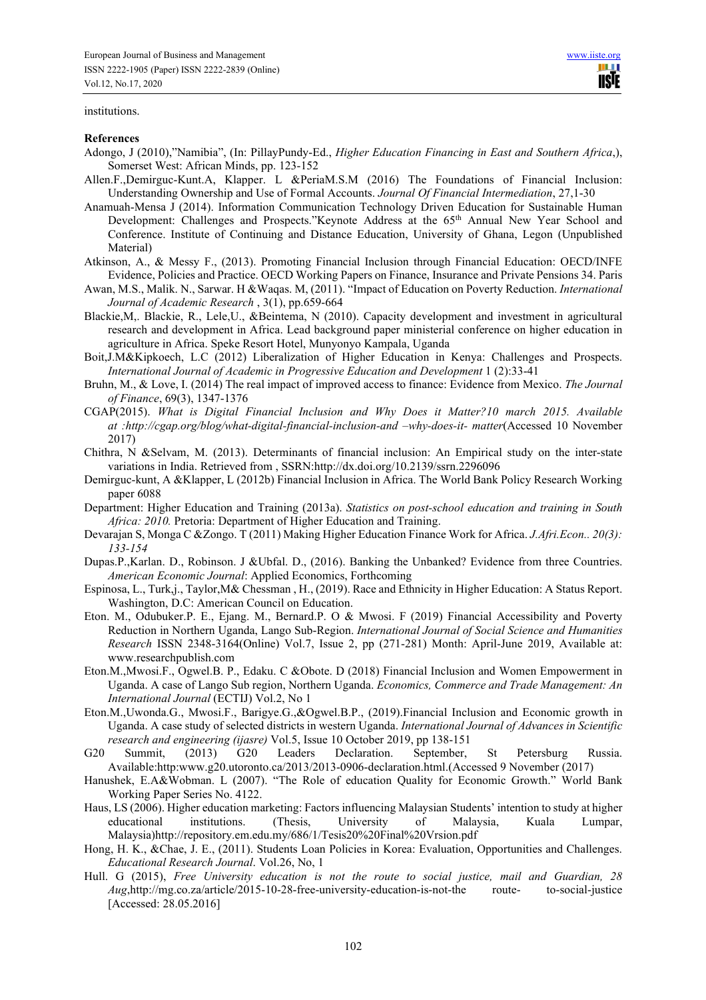#### institutions.

#### **References**

- Adongo, J (2010),"Namibia", (In: PillayPundy-Ed., *Higher Education Financing in East and Southern Africa*,), Somerset West: African Minds, pp. 123-152
- Allen.F.,Demirguc-Kunt.A, Klapper. L &PeriaM.S.M (2016) The Foundations of Financial Inclusion: Understanding Ownership and Use of Formal Accounts. *Journal Of Financial Intermediation*, 27,1-30
- Anamuah-Mensa J (2014). Information Communication Technology Driven Education for Sustainable Human Development: Challenges and Prospects."Keynote Address at the 65<sup>th</sup> Annual New Year School and Conference. Institute of Continuing and Distance Education, University of Ghana, Legon (Unpublished Material)
- Atkinson, A., & Messy F., (2013). Promoting Financial Inclusion through Financial Education: OECD/INFE Evidence, Policies and Practice. OECD Working Papers on Finance, Insurance and Private Pensions 34. Paris
- Awan, M.S., Malik. N., Sarwar. H &Waqas. M, (2011). "Impact of Education on Poverty Reduction. *International Journal of Academic Research* , 3(1), pp.659-664
- Blackie,M,. Blackie, R., Lele,U., &Beintema, N (2010). Capacity development and investment in agricultural research and development in Africa. Lead background paper ministerial conference on higher education in agriculture in Africa. Speke Resort Hotel, Munyonyo Kampala, Uganda
- Boit,J.M&Kipkoech, L.C (2012) Liberalization of Higher Education in Kenya: Challenges and Prospects. *International Journal of Academic in Progressive Education and Development* 1 (2):33-41
- Bruhn, M., & Love, I. (2014) The real impact of improved access to finance: Evidence from Mexico. *The Journal of Finance*, 69(3), 1347-1376
- CGAP(2015). *What is Digital Financial Inclusion and Why Does it Matter?10 march 2015. Available at :http://cgap.org/blog/what-digital-financial-inclusion-and –why-does-it- matter*(Accessed 10 November 2017)
- Chithra, N &Selvam, M. (2013). Determinants of financial inclusion: An Empirical study on the inter-state variations in India. Retrieved from , SSRN:http://dx.doi.org/10.2139/ssrn.2296096
- Demirguc-kunt, A &Klapper, L (2012b) Financial Inclusion in Africa. The World Bank Policy Research Working paper 6088
- Department: Higher Education and Training (2013a). *Statistics on post-school education and training in South Africa: 2010.* Pretoria: Department of Higher Education and Training.
- Devarajan S, Monga C &Zongo. T (2011) Making Higher Education Finance Work for Africa. *J.Afri.Econ.. 20(3): 133-154*
- Dupas.P.,Karlan. D., Robinson. J &Ubfal. D., (2016). Banking the Unbanked? Evidence from three Countries. *American Economic Journal*: Applied Economics, Forthcoming
- Espinosa, L., Turk,j., Taylor,M& Chessman , H., (2019). Race and Ethnicity in Higher Education: A Status Report. Washington, D.C: American Council on Education.
- Eton. M., Odubuker.P. E., Ejang. M., Bernard.P. O & Mwosi. F (2019) Financial Accessibility and Poverty Reduction in Northern Uganda, Lango Sub-Region. *International Journal of Social Science and Humanities Research* ISSN 2348-3164(Online) Vol.7, Issue 2, pp (271-281) Month: April-June 2019, Available at: www.researchpublish.com
- Eton.M.,Mwosi.F., Ogwel.B. P., Edaku. C &Obote. D (2018) Financial Inclusion and Women Empowerment in Uganda. A case of Lango Sub region, Northern Uganda. *Economics, Commerce and Trade Management: An International Journal* (ECTIJ) Vol.2, No 1
- Eton.M.,Uwonda.G., Mwosi.F., Barigye.G.,&Ogwel.B.P., (2019).Financial Inclusion and Economic growth in Uganda. A case study of selected districts in western Uganda. *International Journal of Advances in Scientific research and engineering (ijasre)* Vol.5, Issue 10 October 2019, pp 138-151
- G20 Summit, (2013) G20 Leaders Declaration. September, St Petersburg Russia. Available:http:www.g20.utoronto.ca/2013/2013-0906-declaration.html.(Accessed 9 November (2017)
- Hanushek, E.A&Wobman. L (2007). "The Role of education Quality for Economic Growth." World Bank Working Paper Series No. 4122.
- Haus, LS (2006). Higher education marketing: Factors influencing Malaysian Students' intention to study at higher educational institutions. (Thesis, University of Malaysia, Kuala Lumpar, Malaysia)http://repository.em.edu.my/686/1/Tesis20%20Final%20Vrsion.pdf
- Hong, H. K., &Chae, J. E., (2011). Students Loan Policies in Korea: Evaluation, Opportunities and Challenges. *Educational Research Journal*. Vol.26, No, 1
- Hull. G (2015), *Free University education is not the route to social justice, mail and Guardian, 28 Aug*,http://mg.co.za/article/2015-10-28-free-university-education-is-not-the route- to-social-justice [Accessed: 28.05.2016]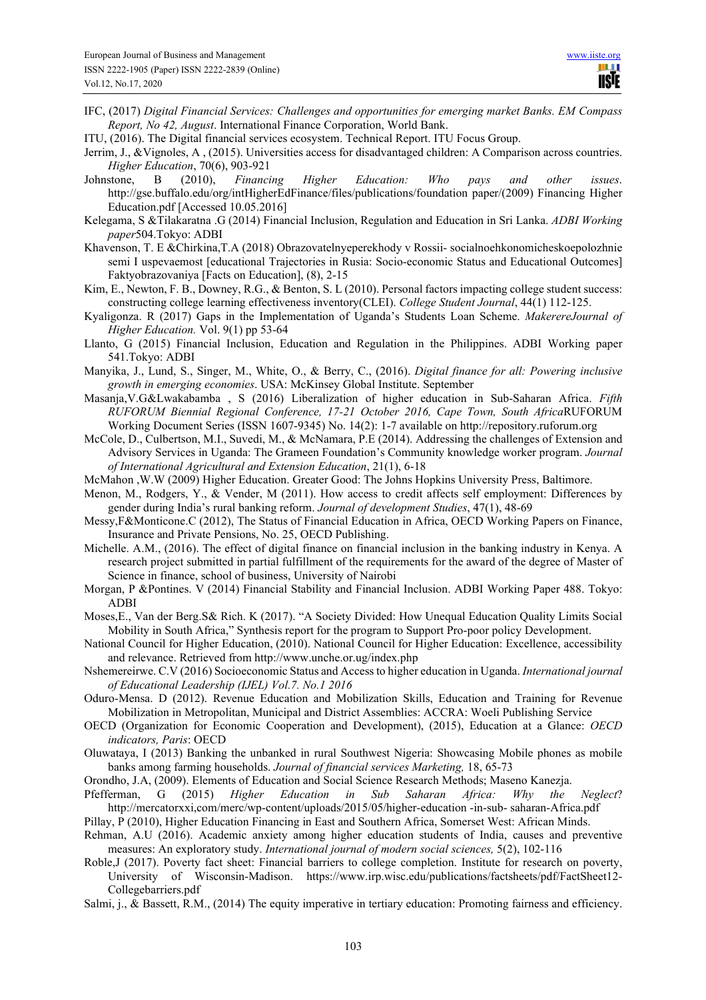- IFC, (2017) *Digital Financial Services: Challenges and opportunities for emerging market Banks. EM Compass Report, No 42, August*. International Finance Corporation, World Bank.
- ITU, (2016). The Digital financial services ecosystem. Technical Report. ITU Focus Group.
- Jerrim, J., &Vignoles, A , (2015). Universities access for disadvantaged children: A Comparison across countries. *Higher Education*, 70(6), 903-921
- Johnstone, B (2010), *Financing Higher Education: Who pays and other issues*. http://gse.buffalo.edu/org/intHigherEdFinance/files/publications/foundation paper/(2009) Financing Higher Education.pdf [Accessed 10.05.2016]
- Kelegama, S &Tilakaratna .G (2014) Financial Inclusion, Regulation and Education in Sri Lanka. *ADBI Working paper*504.Tokyo: ADBI
- Khavenson, T. E &Chirkina,T.A (2018) Obrazovatelnyeperekhody v Rossii- socialnoehkonomicheskoepolozhnie semi I uspevaemost [educational Trajectories in Rusia: Socio-economic Status and Educational Outcomes] Faktyobrazovaniya [Facts on Education], (8), 2-15
- Kim, E., Newton, F. B., Downey, R.G., & Benton, S. L (2010). Personal factors impacting college student success: constructing college learning effectiveness inventory(CLEI). *College Student Journal*, 44(1) 112-125.
- Kyaligonza. R (2017) Gaps in the Implementation of Uganda's Students Loan Scheme. *MakerereJournal of Higher Education.* Vol. 9(1) pp 53-64
- Llanto, G (2015) Financial Inclusion, Education and Regulation in the Philippines. ADBI Working paper 541.Tokyo: ADBI
- Manyika, J., Lund, S., Singer, M., White, O., & Berry, C., (2016). *Digital finance for all: Powering inclusive growth in emerging economies*. USA: McKinsey Global Institute. September
- Masanja,V.G&Lwakabamba , S (2016) Liberalization of higher education in Sub-Saharan Africa. *Fifth RUFORUM Biennial Regional Conference, 17-21 October 2016, Cape Town, South Africa*RUFORUM Working Document Series (ISSN 1607-9345) No. 14(2): 1-7 available on http://repository.ruforum.org
- McCole, D., Culbertson, M.I., Suvedi, M., & McNamara, P.E (2014). Addressing the challenges of Extension and Advisory Services in Uganda: The Grameen Foundation's Community knowledge worker program. *Journal of International Agricultural and Extension Education*, 21(1), 6-18
- McMahon ,W.W (2009) Higher Education. Greater Good: The Johns Hopkins University Press, Baltimore.
- Menon, M., Rodgers, Y., & Vender, M (2011). How access to credit affects self employment: Differences by gender during India's rural banking reform. *Journal of development Studies*, 47(1), 48-69
- Messy,F&Monticone.C (2012), The Status of Financial Education in Africa, OECD Working Papers on Finance, Insurance and Private Pensions, No. 25, OECD Publishing.
- Michelle. A.M., (2016). The effect of digital finance on financial inclusion in the banking industry in Kenya. A research project submitted in partial fulfillment of the requirements for the award of the degree of Master of Science in finance, school of business, University of Nairobi
- Morgan, P &Pontines. V (2014) Financial Stability and Financial Inclusion. ADBI Working Paper 488. Tokyo: ADBI
- Moses,E., Van der Berg.S& Rich. K (2017). "A Society Divided: How Unequal Education Quality Limits Social Mobility in South Africa," Synthesis report for the program to Support Pro-poor policy Development.
- National Council for Higher Education, (2010). National Council for Higher Education: Excellence, accessibility and relevance. Retrieved from http://www.unche.or.ug/index.php
- Nshemereirwe. C.V (2016) Socioeconomic Status and Access to higher education in Uganda. *International journal of Educational Leadership (IJEL) Vol.7. No.1 2016*
- Oduro-Mensa. D (2012). Revenue Education and Mobilization Skills, Education and Training for Revenue Mobilization in Metropolitan, Municipal and District Assemblies: ACCRA: Woeli Publishing Service
- OECD (Organization for Economic Cooperation and Development), (2015), Education at a Glance: *OECD indicators, Paris*: OECD
- Oluwataya, I (2013) Banking the unbanked in rural Southwest Nigeria: Showcasing Mobile phones as mobile banks among farming households. *Journal of financial services Marketing,* 18, 65-73
- Orondho, J.A, (2009). Elements of Education and Social Science Research Methods; Maseno Kanezja.<br>Pfefferman, G (2015) Higher Education in Sub Saharan Africa: Why the
- Pfefferman, G (2015) *Higher Education in Sub Saharan Africa: Why the Neglect*? http://mercatorxxi,com/merc/wp-content/uploads/2015/05/higher-education -in-sub- saharan-Africa.pdf
- Pillay, P (2010), Higher Education Financing in East and Southern Africa, Somerset West: African Minds.
- Rehman, A.U (2016). Academic anxiety among higher education students of India, causes and preventive measures: An exploratory study. *International journal of modern social sciences,* 5(2), 102-116
- Roble,J (2017). Poverty fact sheet: Financial barriers to college completion. Institute for research on poverty, University of Wisconsin-Madison. https://www.irp.wisc.edu/publications/factsheets/pdf/FactSheet12- Collegebarriers.pdf
- Salmi, j., & Bassett, R.M., (2014) The equity imperative in tertiary education: Promoting fairness and efficiency.